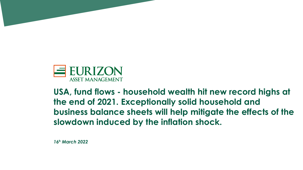

**USA, fund flows - household wealth hit new record highs at the end of 2021. Exceptionally solid household and business balance sheets will help mitigate the effects of the slowdown induced by the inflation shock.**

*16h March 2022*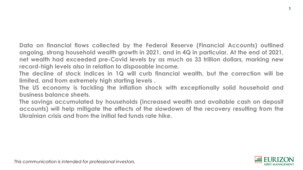**Data on financial flows collected by the Federal Reserve (Financial Accounts) outlined ongoing, strong household wealth growth in 2021, and in 4Q in particular. At the end of 2021, net wealth had exceeded pre-Covid levels by as much as 33 trillion dollars, marking new record-high levels also in relation to disposable income.**

**The decline of stock indices in 1Q will curb financial wealth, but the correction will be limited, and from extremely high starting levels .**

**The US economy is tackling the inflation shock with exceptionally solid household and business balance sheets.**

**The savings accumulated by households (increased wealth and available cash on deposit accounts) will help mitigate the effects of the slowdown of the recovery resulting from the Ukrainian crisis and from the initial fed funds rate hike.**



**1**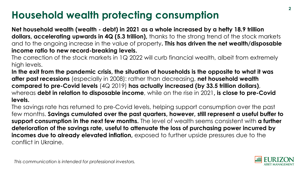## **Household wealth protecting consumption**

**Net household wealth (wealth - debt) in 2021 as a whole increased by a hefty 18.9 trillion**  dollars, accelerating upwards in 4Q (5.3 trillion), thanks to the strong trend of the stock markets and to the ongoing increase in the value of property**. This has driven the net wealth/disposable income ratio to new record-breaking levels.** 

The correction of the stock markets in 1Q 2022 will curb financial wealth, albeit from extremely high levels.

**In the exit from the pandemic crisis, the situation of households is the opposite to what it was after past recessions** (especially in 2008): rather than decreasing, **net household wealth compared to pre-Covid levels** (4Q 2019) **has actually increased (by 33.5 trillion dollars)**, whereas **debt in relation to disposable income**, while on the rise in 2021**, is close to pre-Covid levels.**

The savings rate has returned to pre-Covid levels, helping support consumption over the past few months. **Savings cumulated over the past quarters, however, still represent a useful buffer to support consumption in the next few months.** The level of wealth seems consistent with **a further deterioration of the savings rate, useful to attenuate the loss of purchasing power incurred by incomes due to already elevated inflation**, exposed to further upside pressures due to the conflict in Ukraine.

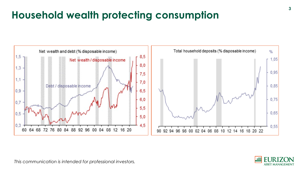#### **Household wealth protecting consumption**



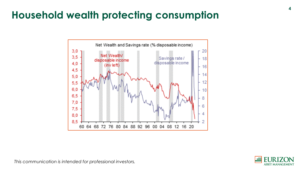#### **Household wealth protecting consumption**



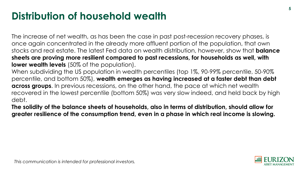## **Distribution of household wealth**

The increase of net wealth, as has been the case in past post-recession recovery phases, is once again concentrated in the already more affluent portion of the population, that own stocks and real estate. The latest Fed data on wealth distribution, however, show that **balance sheets are proving more resilient compared to past recessions, for households as well, with lower wealth levels** (50% of the population).

When subdividing the US population in wealth percentiles (top 1%, 90-99% percentile, 50-90% percentile, and bottom 50%), **wealth emerges as having increased at a faster debt than debt across groups**. In previous recessions, on the other hand, the pace at which net wealth recovered in the lowest percentile (bottom 50%) was very slow indeed, and held back by high debt.

**The solidity of the balance sheets of households, also in terms of distribution, should allow for greater resilience of the consumption trend, even in a phase in which real income is slowing.**

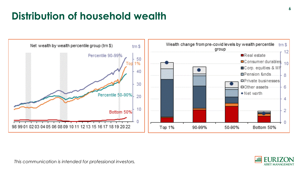## **Distribution of household wealth**



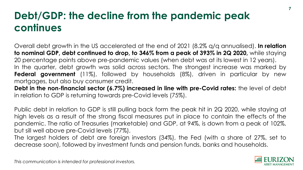## **Debt/GDP: the decline from the pandemic peak continues**

Overall debt growth in the US accelerated at the end of 2021 (8.2% q/q annualised). **In relation to nominal GDP, debt continued to drop, to 346% from a peak of 393% in 2Q 2020,** while staying 20 percentage points above pre-pandemic values (when debt was at its lowest in 12 years). In the quarter, debt growth was solid across sectors. The strongest increase was marked by **Federal government** (11%), followed by households (8%), driven in particular by new mortgages, but also buy consumer credit.

**Debt in the non-financial sector (6.7%) increased in line with pre-Covid rates:** the level of debt in relation to GDP is returning towards pre-Covid levels (75%).

Public debt in relation to GDP is still pulling back form the peak hit in 2Q 2020, while staying at high levels as a result of the strong fiscal measures put in place to contain the effects of the pandemic. The ratio of Treasuries (marketable) and GDP, at 94%, is down from a peak of 102%, but sill well above pre-Covid levels (77%).

The largest holders of debt are foreign investors (34%), the Fed (with a share of 27%, set to decrease soon), followed by investment funds and pension funds, banks and households.

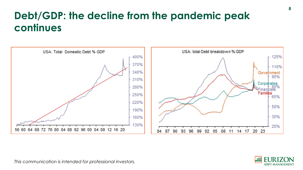## **Debt/GDP: the decline from the pandemic peak continues**



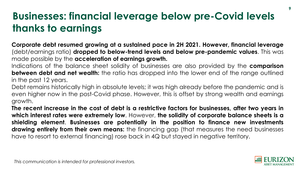# **Businesses: financial leverage below pre-Covid levels thanks to earnings**

**Corporate debt resumed growing at a sustained pace in 2H 2021. However, financial leverage** (debt/earnings ratio) **dropped to below-trend levels and below pre-pandemic values**. This was made possible by the **acceleration of earnings growth.**

Indications of the balance sheet solidity of businesses are also provided by the **comparison between debt and net wealth:** the ratio has dropped into the lower end of the range outlined in the past 12 years.

Debt remains historically high in absolute levels; it was high already before the pandemic and is even higher now in the post-Covid phase. However, this is offset by strong wealth and earnings growth.

The recent increase in the cost of debt is a restrictive factors for businesses, after two years in **which interest rates were extremely low**. However, **the solidity of corporate balance sheets is a shielding element**. **Businesses are potentially in the position to finance new investments drawing entirely from their own means:** the financing gap (that measures the need businesses have to resort to external financing) rose back in 4Q but stayed in negative territory.

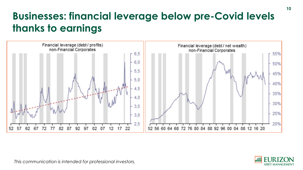# **Businesses: financial leverage below pre-Covid levels thanks to earnings**



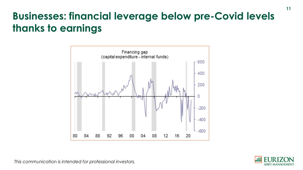# **Businesses: financial leverage below pre-Covid levels thanks to earnings**